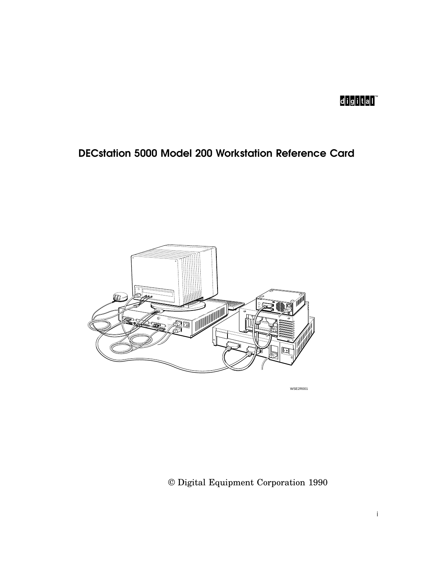# d<mark>ig</mark>itali™

## DECstation 5000 Model 200 Workstation Reference Card



WSE2R001

© Digital Equipment Corporation 1990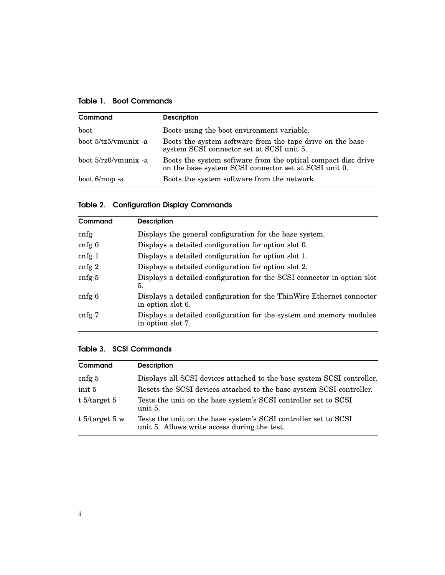| Command                | <b>Description</b>                                                                                                     |  |
|------------------------|------------------------------------------------------------------------------------------------------------------------|--|
| boot                   | Boots using the boot environment variable.                                                                             |  |
| boot 5/tz5/ymunix -a   | Boots the system software from the tape drive on the base<br>system SCSI connector set at SCSI unit 5.                 |  |
| boot $5/rz0/m$ unix -a | Boots the system software from the optical compact disc drive<br>on the base system SCSI connector set at SCSI unit 0. |  |
| boot 6/mop -a          | Boots the system software from the network.                                                                            |  |

|  | <b>Table 2. Configuration Display Commands</b> |  |  |
|--|------------------------------------------------|--|--|
|--|------------------------------------------------|--|--|

| Command           | <b>Description</b>                                                                         |
|-------------------|--------------------------------------------------------------------------------------------|
| cnfg              | Displays the general configuration for the base system.                                    |
| $cnfg$ 0          | Displays a detailed configuration for option slot 0.                                       |
| cnfg1             | Displays a detailed configuration for option slot 1.                                       |
| cnfg $2$          | Displays a detailed configuration for option slot 2.                                       |
| cnfg <sub>5</sub> | Displays a detailed configuration for the SCSI connector in option slot<br>5.              |
| cnfg 6            | Displays a detailed configuration for the ThinWire Ethernet connector<br>in option slot 6. |
| cnfg <sub>7</sub> | Displays a detailed configuration for the system and memory modules<br>in option slot 7.   |

#### Table 3. SCSI Commands

| Command           | <b>Description</b>                                                                                              |
|-------------------|-----------------------------------------------------------------------------------------------------------------|
| cnfg $5$          | Displays all SCSI devices attached to the base system SCSI controller.                                          |
| init 5            | Resets the SCSI devices attached to the base system SCSI controller.                                            |
| t $5$ /target 5   | Tests the unit on the base system's SCSI controller set to SCSI<br>unit 5.                                      |
| t $5$ /target 5 w | Tests the unit on the base system's SCSI controller set to SCSI<br>unit 5. Allows write access during the test. |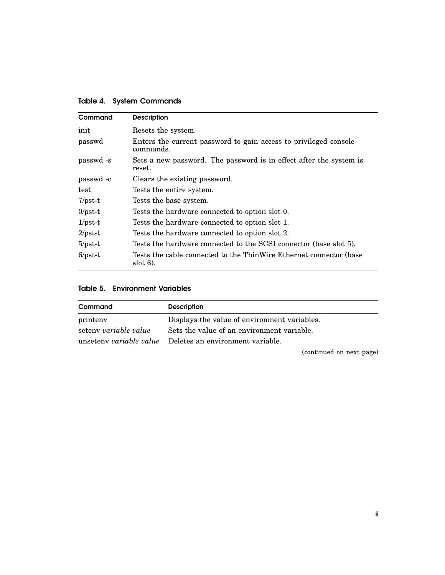| Command    | <b>Description</b>                                                                |  |
|------------|-----------------------------------------------------------------------------------|--|
| init       | Resets the system.                                                                |  |
| passwd     | Enters the current password to gain access to privileged console<br>commands.     |  |
| passwd -s  | Sets a new password. The password is in effect after the system is<br>reset.      |  |
| passwd -c  | Clears the existing password.                                                     |  |
| test       | Tests the entire system.                                                          |  |
| $7$ /pst-t | Tests the base system.                                                            |  |
| $0$ /pst-t | Tests the hardware connected to option slot 0.                                    |  |
| $1/pst-t$  | Tests the hardware connected to option slot 1.                                    |  |
| $2$ /pst-t | Tests the hardware connected to option slot 2.                                    |  |
| $5$ /pst-t | Tests the hardware connected to the SCSI connector (base slot 5).                 |  |
| $6$ /pst-t | Tests the cable connected to the ThinWire Ethernet connector (base<br>$slot 6$ ). |  |

Table 4. System Commands

| <b>Environment Variables</b> | Table 5. |  |  |
|------------------------------|----------|--|--|
|------------------------------|----------|--|--|

| Command               | <b>Description</b>                                       |
|-----------------------|----------------------------------------------------------|
| printeny              | Displays the value of environment variables.             |
| seteny variable value | Sets the value of an environment variable.               |
|                       | unsetenv variable value Deletes an environment variable. |

(continued on next page)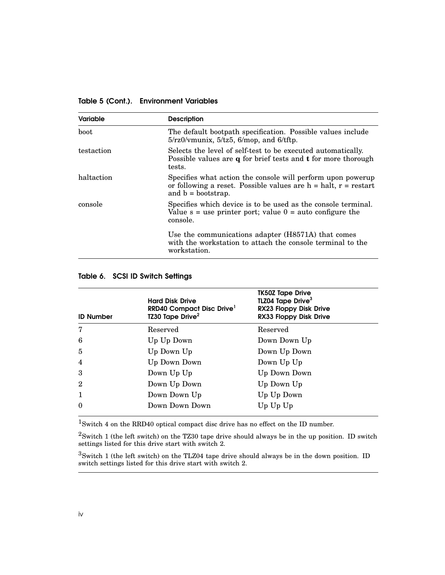Table 5 (Cont.). Environment Variables

| <b>Variable</b> | <b>Description</b>                                                                                                                                                        |  |
|-----------------|---------------------------------------------------------------------------------------------------------------------------------------------------------------------------|--|
| boot            | The default bootpath specification. Possible values include<br>$5/rz0/\text{vmu}$ $5/tz5$ , $6/\text{mop}$ , and $6/tftp$ .                                               |  |
| testaction      | Selects the level of self-test to be executed automatically.<br>Possible values are $q$ for brief tests and $t$ for more thorough<br>tests.                               |  |
| haltaction      | Specifies what action the console will perform upon powerup<br>or following a reset. Possible values are $h = \text{halt}$ , $r = \text{restart}$<br>and $b =$ bootstrap. |  |
| console         | Specifies which device is to be used as the console terminal.<br>Value $s =$ use printer port; value $0 =$ auto configure the<br>console.                                 |  |
|                 | Use the communications adapter (H8571A) that comes<br>with the workstation to attach the console terminal to the<br>workstation.                                          |  |

#### Table 6. SCSI ID Switch Settings

| <b>ID Number</b> | <b>Hard Disk Drive</b><br>RRD40 Compact Disc Drive <sup>1</sup><br>TZ30 Tape Drive <sup>2</sup> | <b>TK50Z Tape Drive</b><br>TLZ04 Tape Drive <sup>3</sup><br>RX23 Floppy Disk Drive<br>RX33 Floppy Disk Drive |
|------------------|-------------------------------------------------------------------------------------------------|--------------------------------------------------------------------------------------------------------------|
| 7                | Reserved                                                                                        | Reserved                                                                                                     |
| 6                | Up Up Down                                                                                      | Down Down Up                                                                                                 |
| $\overline{5}$   | Up Down Up                                                                                      | Down Up Down                                                                                                 |
| 4                | Up Down Down                                                                                    | Down Up Up                                                                                                   |
| 3                | Down Up Up                                                                                      | Up Down Down                                                                                                 |
| $\overline{2}$   | Down Up Down                                                                                    | Up Down Up                                                                                                   |
| 1                | Down Down Up                                                                                    | Up Up Down                                                                                                   |
| $\theta$         | Down Down Down                                                                                  | $Up$ $Up$ $Up$                                                                                               |

 $\rm ^1S$  witch 4 on the RRD40 optical compact disc drive has no effect on the ID number.

 $2$ Switch 1 (the left switch) on the TZ30 tape drive should always be in the up position. ID switch settings listed for this drive start with switch 2.

 $3$ Switch 1 (the left switch) on the TLZ04 tape drive should always be in the down position. ID switch settings listed for this drive start with switch 2.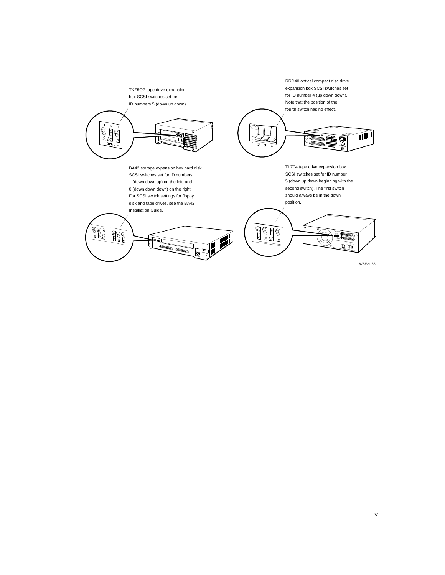